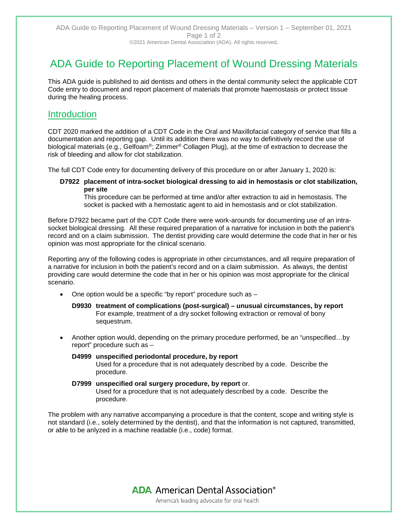# ADA Guide to Reporting Placement of Wound Dressing Materials

This ADA guide is published to aid dentists and others in the dental community select the applicable CDT Code entry to document and report placement of materials that promote haemostasis or protect tissue during the healing process.

## **Introduction**

CDT 2020 marked the addition of a CDT Code in the Oral and Maxillofacial category of service that fills a documentation and reporting gap. Until its addition there was no way to definitively record the use of biological materials (e.g., Gelfoam®; Zimmer® Collagen Plug), at the time of extraction to decrease the risk of bleeding and allow for clot stabilization.

The full CDT Code entry for documenting delivery of this procedure on or after January 1, 2020 is:

#### **D7922 placement of intra-socket biological dressing to aid in hemostasis or clot stabilization, per site**

This procedure can be performed at time and/or after extraction to aid in hemostasis. The socket is packed with a hemostatic agent to aid in hemostasis and or clot stabilization.

Before D7922 became part of the CDT Code there were work-arounds for documenting use of an intrasocket biological dressing. All these required preparation of a narrative for inclusion in both the patient's record and on a claim submission. The dentist providing care would determine the code that in her or his opinion was most appropriate for the clinical scenario.

Reporting any of the following codes is appropriate in other circumstances, and all require preparation of a narrative for inclusion in both the patient's record and on a claim submission. As always, the dentist providing care would determine the code that in her or his opinion was most appropriate for the clinical scenario.

- One option would be a specific "by report" procedure such as -
	- **D9930 treatment of complications (post-surgical) – unusual circumstances, by report** For example, treatment of a dry socket following extraction or removal of bony sequestrum.
- Another option would, depending on the primary procedure performed, be an "unspecified…by report" procedure such as –

#### **D4999 unspecified periodontal procedure, by report** Used for a procedure that is not adequately described by a code. Describe the procedure.

#### **D7999 unspecified oral surgery procedure, by report** or. Used for a procedure that is not adequately described by a code. Describe the procedure.

The problem with any narrative accompanying a procedure is that the content, scope and writing style is not standard (i.e., solely determined by the dentist), and that the information is not captured, transmitted, or able to be anlyzed in a machine readable (i.e., code) format.